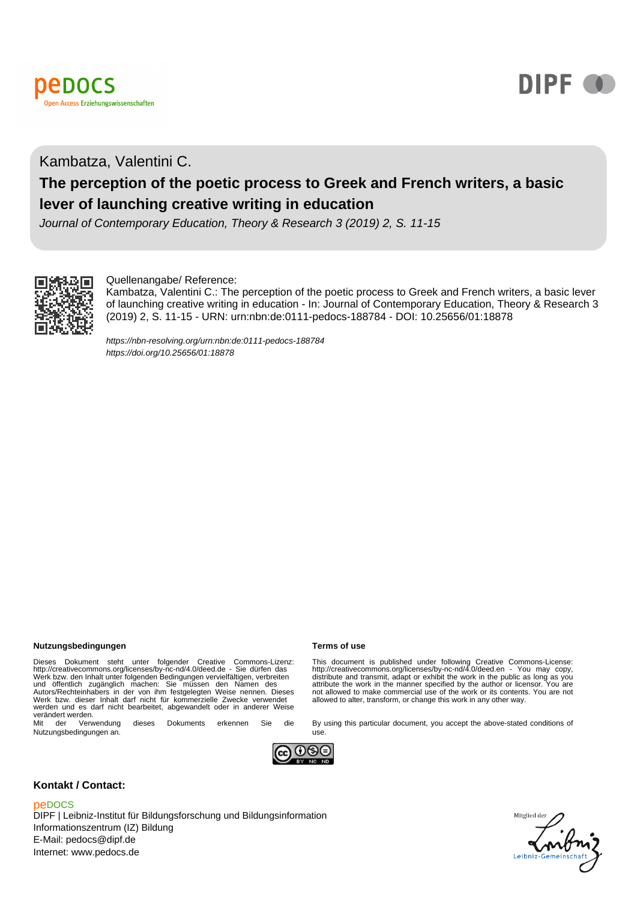



# Kambatza, Valentini C.

## **The perception of the poetic process to Greek and French writers, a basic lever of launching creative writing in education**

Journal of Contemporary Education, Theory & Research 3 (2019) 2, S. 11-15



### Quellenangabe/ Reference:

Kambatza, Valentini C.: The perception of the poetic process to Greek and French writers, a basic lever of launching creative writing in education - In: Journal of Contemporary Education, Theory & Research 3 (2019) 2, S. 11-15 - URN: urn:nbn:de:0111-pedocs-188784 - DOI: 10.25656/01:18878

<https://nbn-resolving.org/urn:nbn:de:0111-pedocs-188784> <https://doi.org/10.25656/01:18878>

### **Nutzungsbedingungen Terms of use**

Dieses Dokument steht unter folgender Creative Commons-Lizenz:<br>http://creativecommons.org/licenses/by-nc-nd/4.0/deed.de - Sie dürfen das<br>Werk bzw. den Inhalt unter folgenden Bedingungen vervielfältigen, verbreiten<br>und öffe werden und es darf nicht bearbeitet, abgewandelt oder in anderer Weise verändert werden.<br>
Mit der Verwendung

dieses Dokuments erkennen Sie die Nutzungsbedingungen an.

This document is published under following Creative Commons-License:<br>http://creativecommons.org/licenses/by-nc-nd/4.0/deed.en - You may copy,<br>distribute and transmit, adapt or exhibit the work in the public as long as you<br> not allowed to make commercial use of the work or its contents. You are not allowed to alter, transform, or change this work in any other way.

By using this particular document, you accept the above-stated conditions of



use.

### **Kontakt / Contact:**

### peDOCS

DIPF | Leibniz-Institut für Bildungsforschung und Bildungsinformation Informationszentrum (IZ) Bildung E-Mail: pedocs@dipf.de Internet: www.pedocs.de

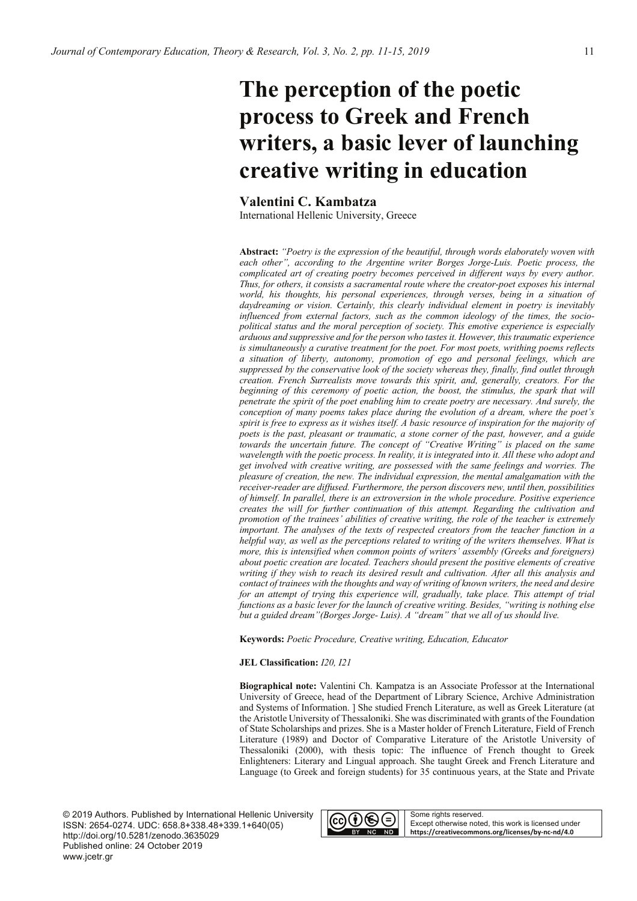# The perception of the poetic process to Greek and French writers, a basic lever of launching creative writing in education

Valentini C. Kambatza

International Hellenic University, Greece

Abstract: "Poetry is the expression of the beautiful, through words elaborately woven with each other", according to the Argentine writer Borges Jorge-Luis. Poetic process, the complicated art of creating poetry becomes perceived in different ways by every author. Thus, for others, it consists a sacramental route where the creator-poet exposes his internal world, his thoughts, his personal experiences, through verses, being in a situation of daydreaming or vision. Certainly, this clearly individual element in poetry is inevitably influenced from external factors, such as the common ideology of the times, the sociopolitical status and the moral perception of society. This emotive experience is especially arduous and suppressive and for the person who tastes it. However, this traumatic experience is simultaneously a curative treatment for the poet. For most poets, writhing poems reflects a situation of liberty, autonomy, promotion of ego and personal feelings, which are suppressed by the conservative look of the society whereas they, finally, find outlet through creation. French Surrealists move towards this spirit, and, generally, creators. For the beginning of this ceremony of poetic action, the boost, the stimulus, the spark that will penetrate the spirit of the poet enabling him to create poetry are necessary. And surely, the conception of many poems takes place during the evolution of a dream, where the poet's spirit is free to express as it wishes itself. A basic resource of inspiration for the majority of poets is the past, pleasant or traumatic, a stone corner of the past, however, and a guide towards the uncertain future. The concept of "Creative Writing" is placed on the same wavelength with the poetic process. In reality, it is integrated into it. All these who adopt and get involved with creative writing, are possessed with the same feelings and worries. The pleasure of creation, the new. The individual expression, the mental amalgamation with the receiver-reader are diffused. Furthermore, the person discovers new, until then, possibilities of himself. In parallel, there is an extroversion in the whole procedure. Positive experience creates the will for further continuation of this attempt. Regarding the cultivation and promotion of the trainees' abilities of creative writing, the role of the teacher is extremely important. The analyses of the texts of respected creators from the teacher function in a helpful way, as well as the perceptions related to writing of the writers themselves. What is more, this is intensified when common points of writers' assembly (Greeks and foreigners) about poetic creation are located. Teachers should present the positive elements of creative writing if they wish to reach its desired result and cultivation. After all this analysis and contact of trainees with the thoughts and way of writing of known writers, the need and desire for an attempt of trying this experience will, gradually, take place. This attempt of trial functions as a basic lever for the launch of creative writing. Besides, "writing is nothing else but a guided dream" (Borges Jorge-Luis). A "dream" that we all of us should live.

Keywords: Poetic Procedure, Creative writing, Education, Educator

### JEL Classification: 120, 121

Biographical note: Valentini Ch. Kampatza is an Associate Professor at the International University of Greece, head of the Department of Library Science, Archive Administration and Systems of Information. ] She studied French Literature, as well as Greek Literature (at the Aristotle University of Thessaloniki. She was discriminated with grants of the Foundation of State Scholarships and prizes. She is a Master holder of French Literature, Field of French Literature (1989) and Doctor of Comparative Literature of the Aristotle University of Thessaloniki (2000), with thesis topic: The influence of French thought to Greek Enlighteners: Literary and Lingual approach. She taught Greek and French Literature and Language (to Greek and foreign students) for 35 continuous years, at the State and Private

© 2019 Authors. Published by International Hellenic University ISSN: 2654-0274. UDC: 658.8+338.48+339.1+640(05) http://doi.org/10.5281/zenodo.3635029 Published online: 24 October 2019 www.jcetr.gr

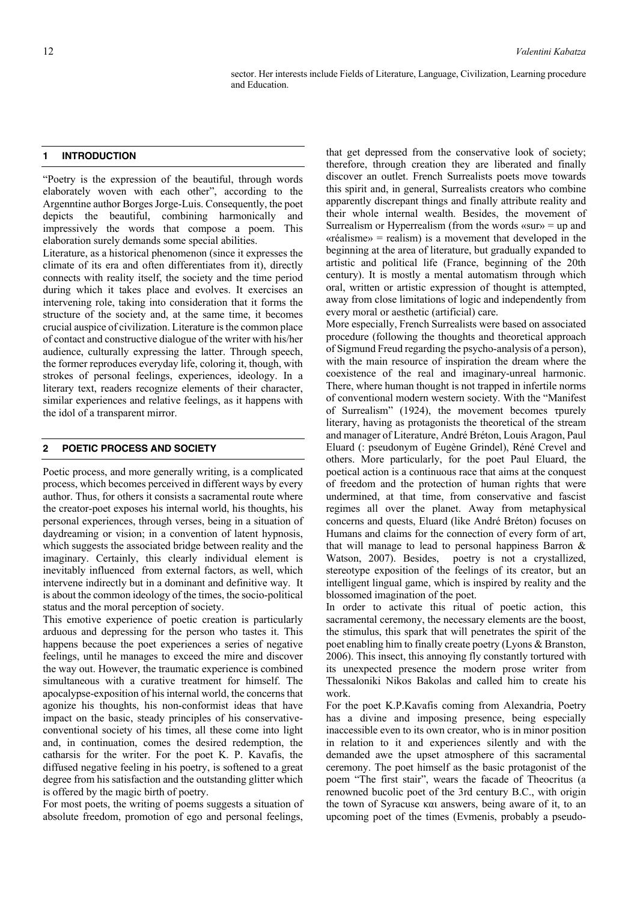sector. Her interests include Fields of Literature, Language, Civilization, Learning procedure and Education.

### **1 INTRODUCTION**

"Poetry is the expression of the beautiful, through words elaborately woven with each other", according to the Argenntine author Borges Jorge-Luis. Consequently, the poet depicts the beautiful, combining harmonically and impressively the words that compose a poem. This elaboration surely demands some special abilities.

Literature, as a historical phenomenon (since it expresses the climate of its era and often differentiates from it), directly connects with reality itself, the society and the time period during which it takes place and evolves. It exercises an intervening role, taking into consideration that it forms the structure of the society and, at the same time, it becomes crucial auspice of civilization. Literature is the common place of contact and constructive dialogue of the writer with his/her audience, culturally expressing the latter. Through speech, the former reproduces everyday life, coloring it, though, with strokes of personal feelings, experiences, ideology. In a literary text, readers recognize elements of their character, similar experiences and relative feelings, as it happens with the idol of a transparent mirror.

### **2 POETIC PROCESS AND SOCIETY**

Poetic process, and more generally writing, is a complicated process, which becomes perceived in different ways by every author. Thus, for others it consists a sacramental route where the creator-poet exposes his internal world, his thoughts, his personal experiences, through verses, being in a situation of daydreaming or vision; in a convention of latent hypnosis, which suggests the associated bridge between reality and the imaginary. Certainly, this clearly individual element is inevitably influenced from external factors, as well, which intervene indirectly but in a dominant and definitive way. It is about the common ideology of the times, the socio-political status and the moral perception of society.

This emotive experience of poetic creation is particularly arduous and depressing for the person who tastes it. This happens because the poet experiences a series of negative feelings, until he manages to exceed the mire and discover the way out. However, the traumatic experience is combined simultaneous with a curative treatment for himself. The apocalypse-exposition of his internal world, the concerns that agonize his thoughts, his non-conformist ideas that have impact on the basic, steady principles of his conservativeconventional society of his times, all these come into light and, in continuation, comes the desired redemption, the catharsis for the writer. For the poet K. P. Kavafis, the diffused negative feeling in his poetry, is softened to a great degree from his satisfaction and the outstanding glitter which is offered by the magic birth of poetry.

For most poets, the writing of poems suggests a situation of absolute freedom, promotion of ego and personal feelings,

that get depressed from the conservative look of society; therefore, through creation they are liberated and finally discover an outlet. French Surrealists poets move towards this spirit and, in general, Surrealists creators who combine apparently discrepant things and finally attribute reality and their whole internal wealth. Besides, the movement of Surrealism or Hyperrealism (from the words «sur» = up and «réalisme» = realism) is a movement that developed in the beginning at the area of literature, but gradually expanded to artistic and political life (France, beginning of the 20th century). It is mostly a mental automatism through which oral, written or artistic expression of thought is attempted, away from close limitations of logic and independently from every moral or aesthetic (artificial) care.

More especially, French Surrealists were based on associated procedure (following the thoughts and theoretical approach of Sigmund Freud regarding the psycho-analysis of a person), with the main resource of inspiration the dream where the coexistence of the real and imaginary-unreal harmonic. There, where human thought is not trapped in infertile norms of conventional modern western society. With the "Manifest of Surrealism" (1924), the movement becomes τpurely literary, having as protagonists the theoretical οf the stream and manager of Literature, Αndré Bréton, Louis Aragon, Paul Eluard (: pseudonym of Eugène Grindel), Réné Crevel and others. More particularly, for the poet Paul Eluard, the poetical action is a continuous race that aims at the conquest of freedom and the protection of human rights that were undermined, at that time, from conservative and fascist regimes all over the planet. Away from metaphysical concerns and quests, Eluard (like André Bréton) focuses on Humans and claims for the connection of every form of art, that will manage to lead to personal happiness Barron & Watson, 2007). Besides, poetry is not a crystallized, stereotype exposition of the feelings of its creator, but an intelligent lingual game, which is inspired by reality and the blossomed imagination of the poet.

In order to activate this ritual of poetic action, this sacramental ceremony, the necessary elements are the boost, the stimulus, this spark that will penetrates the spirit of the poet enabling him to finally create poetry (Lyons & Branston, 2006). This insect, this annoying fly constantly tortured with its unexpected presence the modern prose writer from Thessaloniki Nikos Bakolas and called him to create his work.

For the poet K.P.Kavafis coming from Alexandria, Poetry has a divine and imposing presence, being especially inaccessible even to its own creator, who is in minor position in relation to it and experiences silently and with the demanded awe the upset atmosphere of this sacramental ceremony. The poet himself as the basic protagonist of the poem "The first stair", wears the facade of Theocritus (a renowned bucolic poet of the 3rd century B.C., with origin the town of Syracuse και answers, being aware of it, to an upcoming poet of the times (Evmenis, probably a pseudo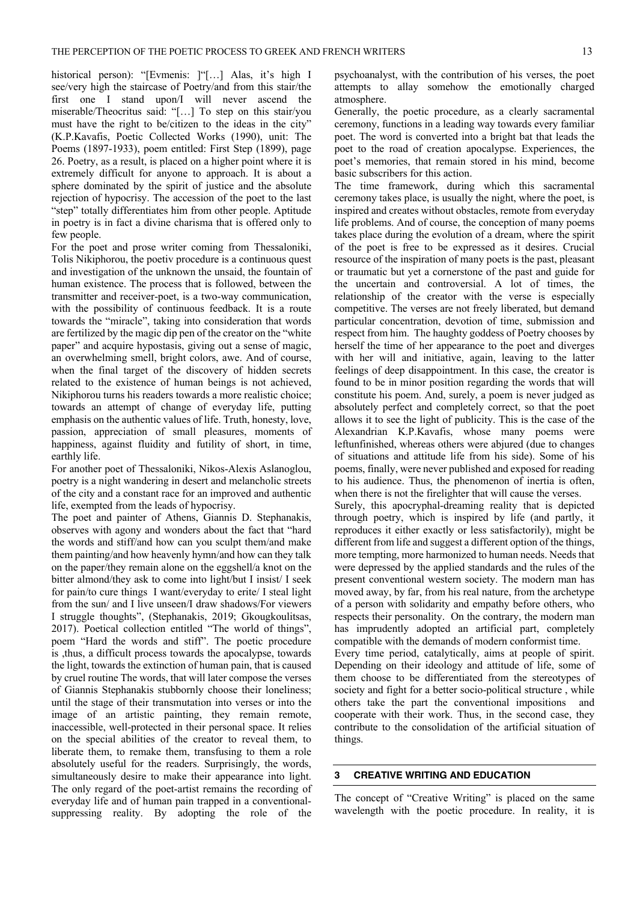historical person): "[Evmenis: ]"[…] Alas, it's high I see/very high the staircase of Poetry/and from this stair/the first one I stand upon/I will never ascend the miserable/Theocritus said: "[…] To step on this stair/you must have the right to be/citizen to the ideas in the city" (K.P.Kavafis, Poetic Collected Works (1990), unit: The Poems (1897-1933), poem entitled: First Step (1899), page 26. Poetry, as a result, is placed on a higher point where it is extremely difficult for anyone to approach. It is about a sphere dominated by the spirit of justice and the absolute rejection of hypocrisy. The accession of the poet to the last "step" totally differentiates him from other people. Aptitude in poetry is in fact a divine charisma that is offered only to few people.

For the poet and prose writer coming from Thessaloniki, Tolis Nikiphorou, the poetiv procedure is a continuous quest and investigation of the unknown the unsaid, the fountain of human existence. The process that is followed, between the transmitter and receiver-poet, is a two-way communication, with the possibility of continuous feedback. It is a route towards the "miracle", taking into consideration that words are fertilized by the magic dip pen of the creator on the "white paper" and acquire hypostasis, giving out a sense of magic, an overwhelming smell, bright colors, awe. And of course, when the final target of the discovery of hidden secrets related to the existence of human beings is not achieved, Nikiphorou turns his readers towards a more realistic choice; towards an attempt of change of everyday life, putting emphasis on the authentic values of life. Truth, honesty, love, passion, appreciation of small pleasures, moments of happiness, against fluidity and futility of short, in time, earthly life.

For another poet of Thessaloniki, Nikos-Alexis Aslanoglou, poetry is a night wandering in desert and melancholic streets of the city and a constant race for an improved and authentic life, exempted from the leads of hypocrisy.

The poet and painter of Athens, Giannis D. Stephanakis, observes with agony and wonders about the fact that "hard the words and stiff/and how can you sculpt them/and make them painting/and how heavenly hymn/and how can they talk on the paper/they remain alone on the eggshell/a knot on the bitter almond/they ask to come into light/but I insist/ I seek for pain/to cure things I want/everyday to erite/ I steal light from the sun/ and I live unseen/I draw shadows/For viewers I struggle thoughts", (Stephanakis, 2019; Gkougkoulitsas, 2017). Poetical collection entitled "The world of things", poem "Hard the words and stiff". The poetic procedure is ,thus, a difficult process towards the apocalypse, towards the light, towards the extinction of human pain, that is caused by cruel routine The words, that will later compose the verses of Giannis Stephanakis stubbornly choose their loneliness; until the stage of their transmutation into verses or into the image of an artistic painting, they remain remote, inaccessible, well-protected in their personal space. It relies on the special abilities of the creator to reveal them, to liberate them, to remake them, transfusing to them a role absolutely useful for the readers. Surprisingly, the words, simultaneously desire to make their appearance into light. The only regard of the poet-artist remains the recording of everyday life and of human pain trapped in a conventionalsuppressing reality. By adopting the role of the

psychoanalyst, with the contribution of his verses, the poet attempts to allay somehow the emotionally charged atmosphere.

Generally, the poetic procedure, as a clearly sacramental ceremony, functions in a leading way towards every familiar poet. The word is converted into a bright bat that leads the poet to the road of creation apocalypse. Experiences, the poet's memories, that remain stored in his mind, become basic subscribers for this action.

The time framework, during which this sacramental ceremony takes place, is usually the night, where the poet, is inspired and creates without obstacles, remote from everyday life problems. And of course, the conception of many poems takes place during the evolution of a dream, where the spirit of the poet is free to be expressed as it desires. Crucial resource of the inspiration of many poets is the past, pleasant or traumatic but yet a cornerstone of the past and guide for the uncertain and controversial. A lot of times, the relationship of the creator with the verse is especially competitive. The verses are not freely liberated, but demand particular concentration, devotion of time, submission and respect from him. The haughty goddess of Poetry chooses by herself the time of her appearance to the poet and diverges with her will and initiative, again, leaving to the latter feelings of deep disappointment. In this case, the creator is found to be in minor position regarding the words that will constitute his poem. And, surely, a poem is never judged as absolutely perfect and completely correct, so that the poet allows it to see the light of publicity. This is the case of the Alexandrian K.P.Kavafis, whose many poems were leftunfinished, whereas others were abjured (due to changes of situations and attitude life from his side). Some of his poems, finally, were never published and exposed for reading to his audience. Thus, the phenomenon of inertia is often, when there is not the firelighter that will cause the verses.

Surely, this apocryphal-dreaming reality that is depicted through poetry, which is inspired by life (and partly, it reproduces it either exactly or less satisfactorily), might be different from life and suggest a different option of the things, more tempting, more harmonized to human needs. Needs that were depressed by the applied standards and the rules of the present conventional western society. The modern man has moved away, by far, from his real nature, from the archetype of a person with solidarity and empathy before others, who respects their personality. On the contrary, the modern man has imprudently adopted an artificial part, completely compatible with the demands of modern conformist time.

Every time period, catalytically, aims at people of spirit. Depending on their ideology and attitude of life, some of them choose to be differentiated from the stereotypes of society and fight for a better socio-political structure , while others take the part the conventional impositions and cooperate with their work. Thus, in the second case, they contribute to the consolidation of the artificial situation of things.

### **3 CREATIVE WRITING AND EDUCATION**

The concept of "Creative Writing" is placed on the same wavelength with the poetic procedure. In reality, it is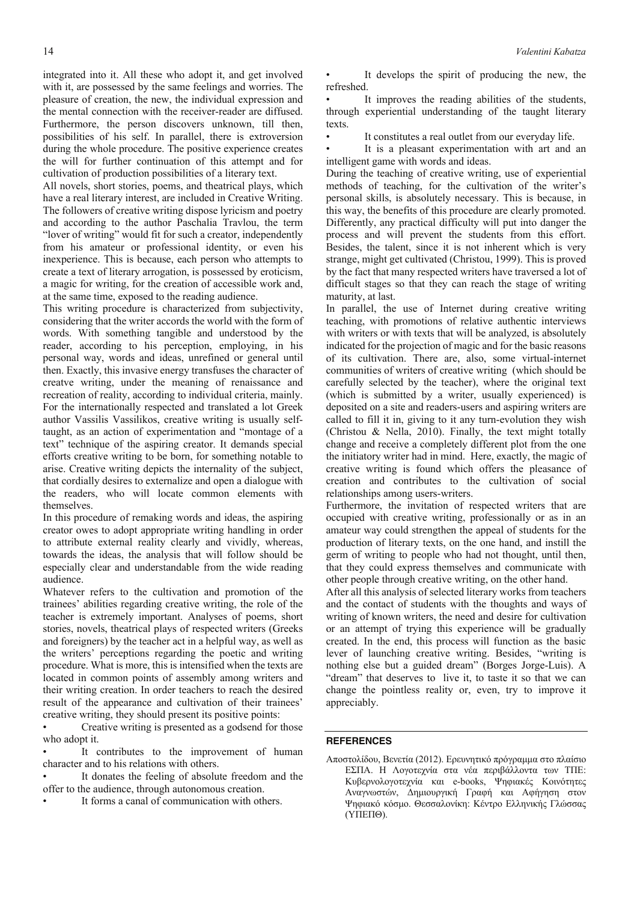integrated into it. All these who adopt it, and get involved with it, are possessed by the same feelings and worries. The pleasure of creation, the new, the individual expression and the mental connection with the receiver-reader are diffused. Furthermore, the person discovers unknown, till then, possibilities of his self. In parallel, there is extroversion during the whole procedure. The positive experience creates the will for further continuation of this attempt and for cultivation of production possibilities of a literary text.

All novels, short stories, poems, and theatrical plays, which have a real literary interest, are included in Creative Writing. The followers of creative writing dispose lyricism and poetry and according to the author Paschalia Travlou, the term "lover of writing" would fit for such a creator, independently from his amateur or professional identity, or even his inexperience. This is because, each person who attempts to create a text of literary arrogation, is possessed by eroticism, a magic for writing, for the creation of accessible work and, at the same time, exposed to the reading audience.

This writing procedure is characterized from subjectivity, considering that the writer accords the world with the form of words. With something tangible and understood by the reader, according to his perception, employing, in his personal way, words and ideas, unrefined or general until then. Exactly, this invasive energy transfuses the character of creatve writing, under the meaning of renaissance and recreation of reality, according to individual criteria, mainly. For the internationally respected and translated a lot Greek author Vassilis Vassilikos, creative writing is usually selftaught, as an action of experimentation and "montage of a text" technique of the aspiring creator. It demands special efforts creative writing to be born, for something notable to arise. Creative writing depicts the internality of the subject, that cordially desires to externalize and open a dialogue with the readers, who will locate common elements with themselves.

In this procedure of remaking words and ideas, the aspiring creator owes to adopt appropriate writing handling in order to attribute external reality clearly and vividly, whereas, towards the ideas, the analysis that will follow should be especially clear and understandable from the wide reading audience.

Whatever refers to the cultivation and promotion of the trainees' abilities regarding creative writing, the role of the teacher is extremely important. Analyses of poems, short stories, novels, theatrical plays of respected writers (Greeks and foreigners) by the teacher act in a helpful way, as well as the writers' perceptions regarding the poetic and writing procedure. What is more, this is intensified when the texts are located in common points of assembly among writers and their writing creation. In order teachers to reach the desired result of the appearance and cultivation of their trainees' creative writing, they should present its positive points:

Creative writing is presented as a godsend for those who adopt it.

It contributes to the improvement of human character and to his relations with others.

It donates the feeling of absolute freedom and the offer to the audience, through autonomous creation.

It forms a canal of communication with others.

It develops the spirit of producing the new, the refreshed.

It improves the reading abilities of the students, through experiential understanding of the taught literary texts

It constitutes a real outlet from our everyday life.

It is a pleasant experimentation with art and an intelligent game with words and ideas.

During the teaching of creative writing, use of experiential methods of teaching, for the cultivation of the writer's personal skills, is absolutely necessary. This is because, in this way, the benefits of this procedure are clearly promoted. Differently, any practical difficulty will put into danger the process and will prevent the students from this effort. Besides, the talent, since it is not inherent which is very strange, might get cultivated (Christou, 1999). This is proved by the fact that many respected writers have traversed a lot of difficult stages so that they can reach the stage of writing maturity, at last.

In parallel, the use of Internet during creative writing teaching, with promotions of relative authentic interviews with writers or with texts that will be analyzed, is absolutely indicated for the projection of magic and for the basic reasons of its cultivation. There are, also, some virtual-internet communities of writers of creative writing (which should be carefully selected by the teacher), where the original text (which is submitted by a writer, usually experienced) is deposited on a site and readers-users and aspiring writers are called to fill it in, giving to it any turn-evolution they wish (Christou & Nella, 2010). Finally, the text might totally change and receive a completely different plot from the one the initiatory writer had in mind. Here, exactly, the magic of creative writing is found which offers the pleasance of creation and contributes to the cultivation of social relationships among users-writers.

Furthermore, the invitation of respected writers that are occupied with creative writing, professionally or as in an amateur way could strengthen the appeal of students for the production of literary texts, on the one hand, and instill the germ of writing to people who had not thought, until then, that they could express themselves and communicate with other people through creative writing, on the other hand.

After all this analysis of selected literary works from teachers and the contact of students with the thoughts and ways of writing of known writers, the need and desire for cultivation or an attempt of trying this experience will be gradually created. In the end, this process will function as the basic lever of launching creative writing. Besides, "writing is nothing else but a guided dream" (Borges Jorge-Luis). A "dream" that deserves to live it, to taste it so that we can change the pointless reality or, even, try to improve it appreciably.

### **REFERENCES**

Αποστολίδου, Βενετία (2012). Ερευνητικό πρόγραμμα στο πλαίσιο ΕΣΠΑ. Η Λογοτεχνία στα νέα περιβάλλοντα των ΤΠΕ: Κυβερνολογοτεχνία και e-books, Ψηφιακές Κοινότητες Αναγνωστών, Δημιουργική Γραφή και Αφήγηση στον Ψηφιακό κόσμο. Θεσσαλονίκη: Κέντρο Ελληνικής Γλώσσας  $(Y\Pi E\Pi\Theta)$ .